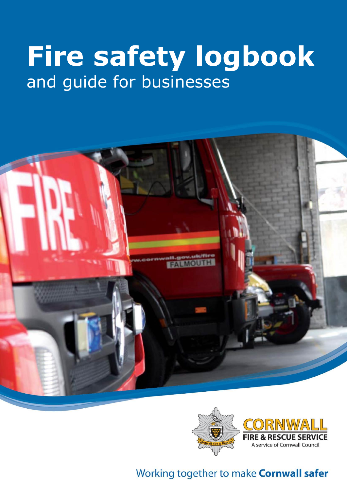# **Fire safety logbook** and guide for businesses





## Working together to make **Cornwall safer**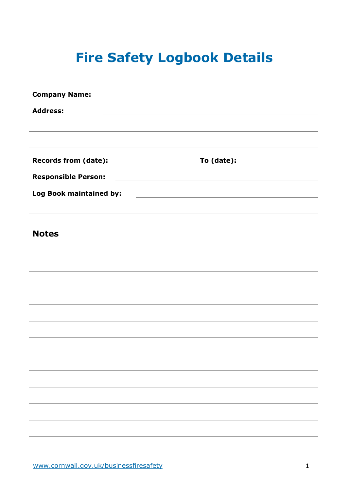## **Fire Safety Logbook Details**

| <b>Company Name:</b>                                                                                                                                                                               |                                                                                                                      |  |
|----------------------------------------------------------------------------------------------------------------------------------------------------------------------------------------------------|----------------------------------------------------------------------------------------------------------------------|--|
| <b>Address:</b>                                                                                                                                                                                    | <u> 1989 - Johann Stoff, amerikansk politiker (* 1908)</u>                                                           |  |
|                                                                                                                                                                                                    |                                                                                                                      |  |
| <u> 1989 - Andrea Santana, amerikana amerikana amerikana amerikana amerikana amerikana amerikana amerikana amerika</u><br><b>Records from (date):</b><br><u> 1980 - Andrea Andrew Maria (h. 19</u> |                                                                                                                      |  |
| <b>Responsible Person:</b>                                                                                                                                                                         | <u> Andreas Andreas Andreas Andreas Andreas Andreas Andreas Andreas Andreas Andreas Andreas Andreas Andreas Andr</u> |  |
| Log Book maintained by:                                                                                                                                                                            | <u> 1989 - Johann Stein, mars and de Brazilian (b. 1989)</u>                                                         |  |
| <b>Notes</b>                                                                                                                                                                                       | ,我们也不会有什么。""我们的人,我们也不会有什么?""我们的人,我们也不会有什么?""我们的人,我们也不会有什么?""我们的人,我们也不会有什么?""我们的人                                     |  |
|                                                                                                                                                                                                    |                                                                                                                      |  |
|                                                                                                                                                                                                    |                                                                                                                      |  |
|                                                                                                                                                                                                    |                                                                                                                      |  |
|                                                                                                                                                                                                    |                                                                                                                      |  |
|                                                                                                                                                                                                    |                                                                                                                      |  |
|                                                                                                                                                                                                    |                                                                                                                      |  |
|                                                                                                                                                                                                    |                                                                                                                      |  |
|                                                                                                                                                                                                    |                                                                                                                      |  |
|                                                                                                                                                                                                    |                                                                                                                      |  |
|                                                                                                                                                                                                    |                                                                                                                      |  |
|                                                                                                                                                                                                    |                                                                                                                      |  |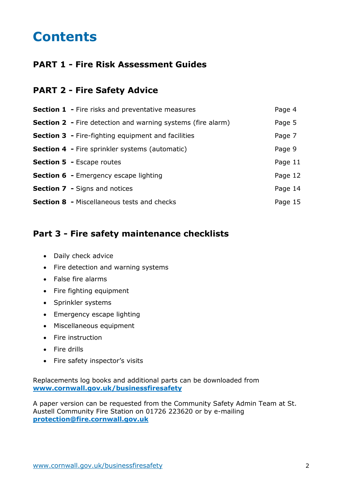## **Contents**

## **PART 1 - Fire Risk Assessment Guides**

## **PART 2 - Fire Safety Advice**

| <b>Section 1 - Fire risks and preventative measures</b>            | Page 4  |
|--------------------------------------------------------------------|---------|
| <b>Section 2 - Fire detection and warning systems (fire alarm)</b> | Page 5  |
| <b>Section 3 - Fire-fighting equipment and facilities</b>          | Page 7  |
| <b>Section 4 - Fire sprinkler systems (automatic)</b>              | Page 9  |
| <b>Section 5 - Escape routes</b>                                   | Page 11 |
| <b>Section 6 - Emergency escape lighting</b>                       | Page 12 |
| <b>Section 7 - Signs and notices</b>                               | Page 14 |
| <b>Section 8 - Miscellaneous tests and checks</b>                  | Page 15 |

## **Part 3 - Fire safety maintenance checklists**

- Daily check advice
- Fire detection and warning systems
- False fire alarms
- Fire fighting equipment
- Sprinkler systems
- Emergency escape lighting
- Miscellaneous equipment
- Fire instruction
- Fire drills
- Fire safety inspector's visits

Replacements log books and additional parts can be downloaded from **www.cornwall.gov.uk/businessfiresafety**

A paper version can be requested from the Community Safety Admin Team at St. Austell Community Fire Station on 01726 223620 or by e-mailing **protection@fire.cornwall.gov.uk**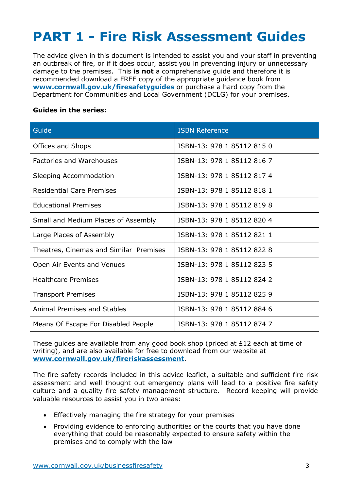## **PART 1 - Fire Risk Assessment Guides**

The advice given in this document is intended to assist you and your staff in preventing an outbreak of fire, or if it does occur, assist you in preventing injury or unnecessary damage to the premises. This **is not** a comprehensive guide and therefore it is recommended download a FREE copy of the appropriate guidance book from **www.cornwall.gov.uk/firesafetyguides** or purchase a hard copy from the Department for Communities and Local Government (DCLG) for your premises.

#### **Guides in the series:**

| Guide                                  | <b>ISBN Reference</b>      |
|----------------------------------------|----------------------------|
| Offices and Shops                      | ISBN-13: 978 1 85112 815 0 |
| <b>Factories and Warehouses</b>        | ISBN-13: 978 1 85112 816 7 |
| Sleeping Accommodation                 | ISBN-13: 978 1 85112 817 4 |
| <b>Residential Care Premises</b>       | ISBN-13: 978 1 85112 818 1 |
| <b>Educational Premises</b>            | ISBN-13: 978 1 85112 819 8 |
| Small and Medium Places of Assembly    | ISBN-13: 978 1 85112 820 4 |
| Large Places of Assembly               | ISBN-13: 978 1 85112 821 1 |
| Theatres, Cinemas and Similar Premises | ISBN-13: 978 1 85112 822 8 |
| Open Air Events and Venues             | ISBN-13: 978 1 85112 823 5 |
| <b>Healthcare Premises</b>             | ISBN-13: 978 1 85112 824 2 |
| <b>Transport Premises</b>              | ISBN-13: 978 1 85112 825 9 |
| <b>Animal Premises and Stables</b>     | ISBN-13: 978 1 85112 884 6 |
| Means Of Escape For Disabled People    | ISBN-13: 978 1 85112 874 7 |

These guides are available from any good book shop (priced at £12 each at time of writing), and are also available for free to download from our website at **www.cornwall.gov.uk/fireriskassessment**.

The fire safety records included in this advice leaflet, a suitable and sufficient fire risk assessment and well thought out emergency plans will lead to a positive fire safety culture and a quality fire safety management structure. Record keeping will provide valuable resources to assist you in two areas:

- Effectively managing the fire strategy for your premises
- Providing evidence to enforcing authorities or the courts that you have done everything that could be reasonably expected to ensure safety within the premises and to comply with the law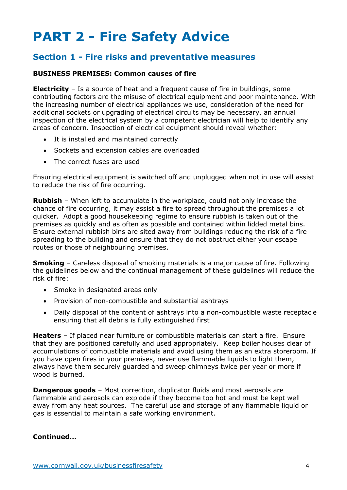## **PART 2 - Fire Safety Advice**

## **Section 1 - Fire risks and preventative measures**

#### **BUSINESS PREMISES: Common causes of fire**

**Electricity** – Is a source of heat and a frequent cause of fire in buildings, some contributing factors are the misuse of electrical equipment and poor maintenance. With the increasing number of electrical appliances we use, consideration of the need for additional sockets or upgrading of electrical circuits may be necessary, an annual inspection of the electrical system by a competent electrician will help to identify any areas of concern. Inspection of electrical equipment should reveal whether:

- It is installed and maintained correctly
- Sockets and extension cables are overloaded
- The correct fuses are used

Ensuring electrical equipment is switched off and unplugged when not in use will assist to reduce the risk of fire occurring.

**Rubbish** – When left to accumulate in the workplace, could not only increase the chance of fire occurring, it may assist a fire to spread throughout the premises a lot quicker. Adopt a good housekeeping regime to ensure rubbish is taken out of the premises as quickly and as often as possible and contained within lidded metal bins. Ensure external rubbish bins are sited away from buildings reducing the risk of a fire spreading to the building and ensure that they do not obstruct either your escape routes or those of neighbouring premises.

**Smoking** – Careless disposal of smoking materials is a major cause of fire. Following the guidelines below and the continual management of these guidelines will reduce the risk of fire:

- Smoke in designated areas only
- Provision of non-combustible and substantial ashtrays
- Daily disposal of the content of ashtrays into a non-combustible waste receptacle ensuring that all debris is fully extinguished first

**Heaters** – If placed near furniture or combustible materials can start a fire. Ensure that they are positioned carefully and used appropriately. Keep boiler houses clear of accumulations of combustible materials and avoid using them as an extra storeroom. If you have open fires in your premises, never use flammable liquids to light them, always have them securely guarded and sweep chimneys twice per year or more if wood is burned.

**Dangerous goods** – Most correction, duplicator fluids and most aerosols are flammable and aerosols can explode if they become too hot and must be kept well away from any heat sources. The careful use and storage of any flammable liquid or gas is essential to maintain a safe working environment.

#### **Continued...**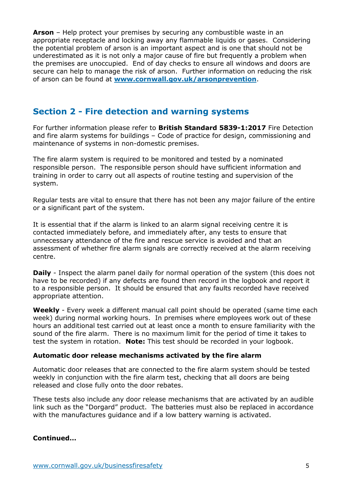**Arson** – Help protect your premises by securing any combustible waste in an appropriate receptacle and locking away any flammable liquids or gases. Considering the potential problem of arson is an important aspect and is one that should not be underestimated as it is not only a major cause of fire but frequently a problem when the premises are unoccupied. End of day checks to ensure all windows and doors are secure can help to manage the risk of arson. Further information on reducing the risk of arson can be found at **www.cornwall.gov.uk/arsonprevention**.

### **Section 2 - Fire detection and warning systems**

For further information please refer to **British Standard 5839-1:2017** Fire Detection and fire alarm systems for buildings – Code of practice for design, commissioning and maintenance of systems in non-domestic premises.

The fire alarm system is required to be monitored and tested by a nominated responsible person. The responsible person should have sufficient information and training in order to carry out all aspects of routine testing and supervision of the system.

Regular tests are vital to ensure that there has not been any major failure of the entire or a significant part of the system.

It is essential that if the alarm is linked to an alarm signal receiving centre it is contacted immediately before, and immediately after, any tests to ensure that unnecessary attendance of the fire and rescue service is avoided and that an assessment of whether fire alarm signals are correctly received at the alarm receiving centre.

**Daily** - Inspect the alarm panel daily for normal operation of the system (this does not have to be recorded) if any defects are found then record in the logbook and report it to a responsible person. It should be ensured that any faults recorded have received appropriate attention.

**Weekly** - Every week a different manual call point should be operated (same time each week) during normal working hours. In premises where employees work out of these hours an additional test carried out at least once a month to ensure familiarity with the sound of the fire alarm. There is no maximum limit for the period of time it takes to test the system in rotation. **Note:** This test should be recorded in your logbook.

#### **Automatic door release mechanisms activated by the fire alarm**

Automatic door releases that are connected to the fire alarm system should be tested weekly in conjunction with the fire alarm test, checking that all doors are being released and close fully onto the door rebates.

These tests also include any door release mechanisms that are activated by an audible link such as the "Dorgard" product. The batteries must also be replaced in accordance with the manufactures guidance and if a low battery warning is activated.

#### **Continued…**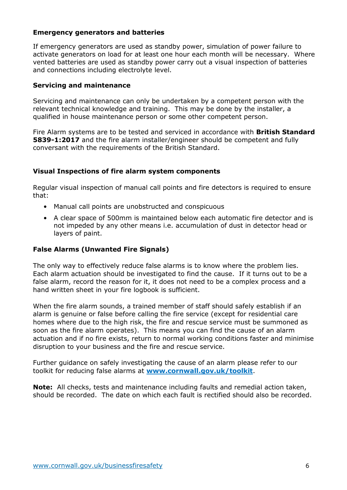#### **Emergency generators and batteries**

If emergency generators are used as standby power, simulation of power failure to activate generators on load for at least one hour each month will be necessary. Where vented batteries are used as standby power carry out a visual inspection of batteries and connections including electrolyte level.

#### **Servicing and maintenance**

Servicing and maintenance can only be undertaken by a competent person with the relevant technical knowledge and training. This may be done by the installer, a qualified in house maintenance person or some other competent person.

Fire Alarm systems are to be tested and serviced in accordance with **British Standard 5839-1:2017** and the fire alarm installer/engineer should be competent and fully conversant with the requirements of the British Standard.

#### **Visual Inspections of fire alarm system components**

Regular visual inspection of manual call points and fire detectors is required to ensure that:

- Manual call points are unobstructed and conspicuous
- A clear space of 500mm is maintained below each automatic fire detector and is not impeded by any other means i.e. accumulation of dust in detector head or layers of paint.

#### **False Alarms (Unwanted Fire Signals)**

The only way to effectively reduce false alarms is to know where the problem lies. Each alarm actuation should be investigated to find the cause. If it turns out to be a false alarm, record the reason for it, it does not need to be a complex process and a hand written sheet in your fire logbook is sufficient.

When the fire alarm sounds, a trained member of staff should safely establish if an alarm is genuine or false before calling the fire service (except for residential care homes where due to the high risk, the fire and rescue service must be summoned as soon as the fire alarm operates). This means you can find the cause of an alarm actuation and if no fire exists, return to normal working conditions faster and minimise disruption to your business and the fire and rescue service.

Further guidance on safely investigating the cause of an alarm please refer to our toolkit for reducing false alarms at **www.cornwall.gov.uk/toolkit**.

**Note:** All checks, tests and maintenance including faults and remedial action taken, should be recorded. The date on which each fault is rectified should also be recorded.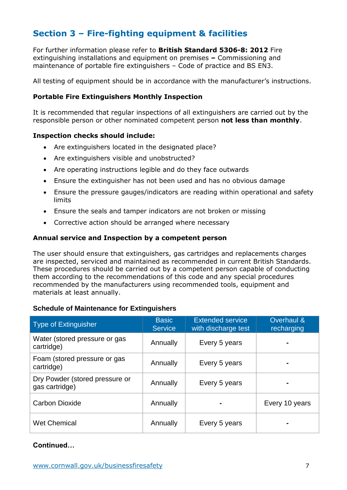## **Section 3 – Fire-fighting equipment & facilities**

For further information please refer to **British Standard 5306-8: 2012** Fire extinguishing installations and equipment on premises **–** Commissioning and maintenance of portable fire extinguishers – Code of practice and BS EN3.

All testing of equipment should be in accordance with the manufacturer's instructions.

#### **Portable Fire Extinguishers Monthly Inspection**

It is recommended that regular inspections of all extinguishers are carried out by the responsible person or other nominated competent person **not less than monthly**.

#### **Inspection checks should include:**

- Are extinguishers located in the designated place?
- Are extinguishers visible and unobstructed?
- Are operating instructions legible and do they face outwards
- Ensure the extinguisher has not been used and has no obvious damage
- Ensure the pressure gauges/indicators are reading within operational and safety limits
- Ensure the seals and tamper indicators are not broken or missing
- Corrective action should be arranged where necessary

#### **Annual service and Inspection by a competent person**

The user should ensure that extinguishers, gas cartridges and replacements charges are inspected, serviced and maintained as recommended in current British Standards. These procedures should be carried out by a competent person capable of conducting them according to the recommendations of this code and any special procedures recommended by the manufacturers using recommended tools, equipment and materials at least annually.

#### **Schedule of Maintenance for Extinguishers**

| <b>Type of Extinguisher</b>                      | <b>Basic</b><br><b>Service</b> | <b>Extended service</b><br>with discharge test | Overhaul &<br>recharging     |
|--------------------------------------------------|--------------------------------|------------------------------------------------|------------------------------|
| Water (stored pressure or gas<br>cartridge)      | Annually                       | Every 5 years                                  |                              |
| Foam (stored pressure or gas<br>cartridge)       | Annually                       | Every 5 years                                  | $\qquad \qquad \blacksquare$ |
| Dry Powder (stored pressure or<br>gas cartridge) | Annually                       | Every 5 years                                  | ۰                            |
| <b>Carbon Dioxide</b>                            | Annually                       |                                                | Every 10 years               |
| <b>Wet Chemical</b>                              | Annually                       | Every 5 years                                  |                              |

#### **Continued…**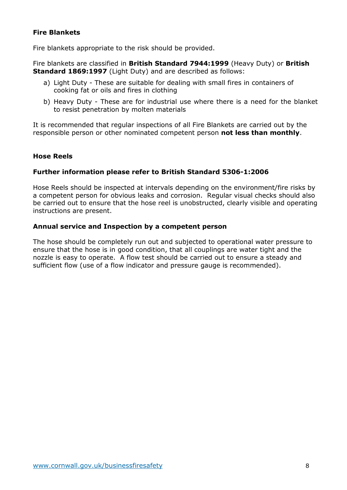#### **Fire Blankets**

Fire blankets appropriate to the risk should be provided.

Fire blankets are classified in **British Standard 7944:1999** (Heavy Duty) or **British Standard 1869:1997** (Light Duty) and are described as follows:

- a) Light Duty These are suitable for dealing with small fires in containers of cooking fat or oils and fires in clothing
- b) Heavy Duty These are for industrial use where there is a need for the blanket to resist penetration by molten materials

It is recommended that regular inspections of all Fire Blankets are carried out by the responsible person or other nominated competent person **not less than monthly**.

#### **Hose Reels**

#### **Further information please refer to British Standard 5306-1:2006**

Hose Reels should be inspected at intervals depending on the environment/fire risks by a competent person for obvious leaks and corrosion. Regular visual checks should also be carried out to ensure that the hose reel is unobstructed, clearly visible and operating instructions are present.

#### **Annual service and Inspection by a competent person**

The hose should be completely run out and subjected to operational water pressure to ensure that the hose is in good condition, that all couplings are water tight and the nozzle is easy to operate. A flow test should be carried out to ensure a steady and sufficient flow (use of a flow indicator and pressure gauge is recommended).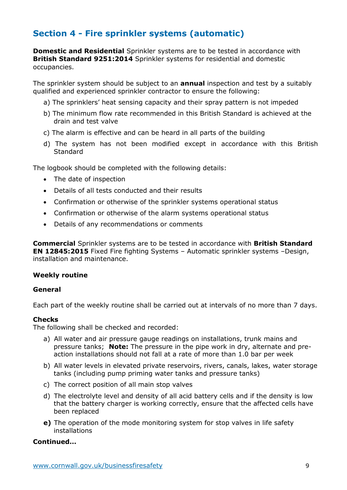## **Section 4 - Fire sprinkler systems (automatic)**

**Domestic and Residential** Sprinkler systems are to be tested in accordance with **British Standard 9251:2014** Sprinkler systems for residential and domestic occupancies.

The sprinkler system should be subject to an **annual** inspection and test by a suitably qualified and experienced sprinkler contractor to ensure the following:

- a) The sprinklers' heat sensing capacity and their spray pattern is not impeded
- b) The minimum flow rate recommended in this British Standard is achieved at the drain and test valve
- c) The alarm is effective and can be heard in all parts of the building
- d) The system has not been modified except in accordance with this British **Standard**

The logbook should be completed with the following details:

- The date of inspection
- Details of all tests conducted and their results
- Confirmation or otherwise of the sprinkler systems operational status
- Confirmation or otherwise of the alarm systems operational status
- Details of any recommendations or comments

**Commercial** Sprinkler systems are to be tested in accordance with **British Standard EN 12845:2015** Fixed Fire fighting Systems – Automatic sprinkler systems –Design, installation and maintenance.

#### **Weekly routine**

#### **General**

Each part of the weekly routine shall be carried out at intervals of no more than 7 days.

#### **Checks**

The following shall be checked and recorded:

- a) All water and air pressure gauge readings on installations, trunk mains and pressure tanks; **Note:** The pressure in the pipe work in dry, alternate and preaction installations should not fall at a rate of more than 1.0 bar per week
- b) All water levels in elevated private reservoirs, rivers, canals, lakes, water storage tanks (including pump priming water tanks and pressure tanks)
- c) The correct position of all main stop valves
- d) The electrolyte level and density of all acid battery cells and if the density is low that the battery charger is working correctly, ensure that the affected cells have been replaced
- **e)** The operation of the mode monitoring system for stop valves in life safety installations

#### **Continued…**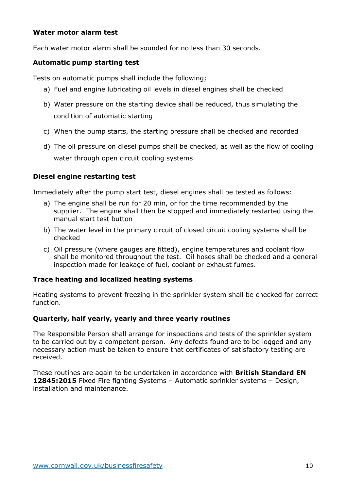#### **Water motor alarm test**

Each water motor alarm shall be sounded for no less than 30 seconds.

#### **Automatic pump starting test**

Tests on automatic pumps shall include the following;

- a) Fuel and engine lubricating oil levels in diesel engines shall be checked
- b) Water pressure on the starting device shall be reduced, thus simulating the condition of automatic starting
- c) When the pump starts, the starting pressure shall be checked and recorded
- d) The oil pressure on diesel pumps shall be checked, as well as the flow of cooling water through open circuit cooling systems

#### **Diesel engine restarting test**

Immediately after the pump start test, diesel engines shall be tested as follows:

- a) The engine shall be run for 20 min, or for the time recommended by the supplier. The engine shall then be stopped and immediately restarted using the manual start test button
- b) The water level in the primary circuit of closed circuit cooling systems shall be checked
- c) Oil pressure (where gauges are fitted), engine temperatures and coolant flow shall be monitored throughout the test. Oil hoses shall be checked and a general inspection made for leakage of fuel, coolant or exhaust fumes.

#### **Trace heating and localized heating systems**

Heating systems to prevent freezing in the sprinkler system shall be checked for correct function.

#### **Quarterly, half yearly, yearly and three yearly routines**

The Responsible Person shall arrange for inspections and tests of the sprinkler system to be carried out by a competent person. Any defects found are to be logged and any necessary action must be taken to ensure that certificates of satisfactory testing are received.

These routines are again to be undertaken in accordance with **British Standard EN 12845:2015** Fixed Fire fighting Systems – Automatic sprinkler systems – Design, installation and maintenance.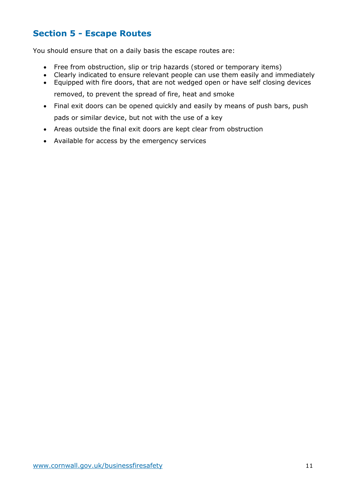## **Section 5 - Escape Routes**

You should ensure that on a daily basis the escape routes are:

- Free from obstruction, slip or trip hazards (stored or temporary items)
- Clearly indicated to ensure relevant people can use them easily and immediately
- Equipped with fire doors, that are not wedged open or have self closing devices removed, to prevent the spread of fire, heat and smoke
- Final exit doors can be opened quickly and easily by means of push bars, push pads or similar device, but not with the use of a key
- Areas outside the final exit doors are kept clear from obstruction
- Available for access by the emergency services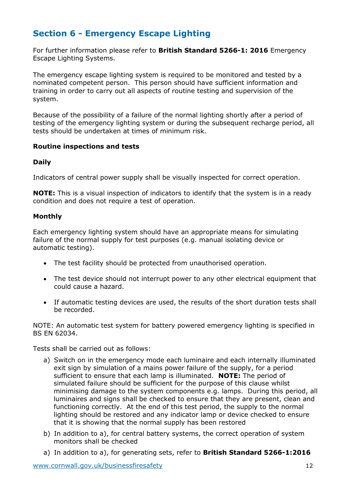## **Section 6 - Emergency Escape Lighting**

For further information please refer to **British Standard 5266-1: 2016** Emergency Escape Lighting Systems.

The emergency escape lighting system is required to be monitored and tested by a nominated competent person. This person should have sufficient information and training in order to carry out all aspects of routine testing and supervision of the system.

Because of the possibility of a failure of the normal lighting shortly after a period of testing of the emergency lighting system or during the subsequent recharge period, all tests should be undertaken at times of minimum risk.

#### **Routine inspections and tests**

#### **Daily**

Indicators of central power supply shall be visually inspected for correct operation.

**NOTE:** This is a visual inspection of indicators to identify that the system is in a ready condition and does not require a test of operation.

#### **Monthly**

Each emergency lighting system should have an appropriate means for simulating failure of the normal supply for test purposes (e.g. manual isolating device or automatic testing).

- The test facility should be protected from unauthorised operation.
- The test device should not interrupt power to any other electrical equipment that could cause a hazard.
- If automatic testing devices are used, the results of the short duration tests shall be recorded.

NOTE: An automatic test system for battery powered emergency lighting is specified in BS EN 62034.

Tests shall be carried out as follows:

- a) Switch on in the emergency mode each luminaire and each internally illuminated exit sign by simulation of a mains power failure of the supply, for a period sufficient to ensure that each lamp is illuminated. **NOTE:** The period of simulated failure should be sufficient for the purpose of this clause whilst minimising damage to the system components e.g. lamps. During this period, all luminaires and signs shall be checked to ensure that they are present, clean and functioning correctly. At the end of this test period, the supply to the normal lighting should be restored and any indicator lamp or device checked to ensure that it is showing that the normal supply has been restored
- b) In addition to a), for central battery systems, the correct operation of system monitors shall be checked
- a) In addition to a), for generating sets, refer to **British Standard 5266-1:2016**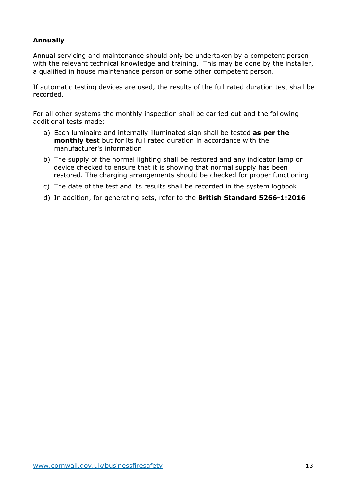#### **Annually**

Annual servicing and maintenance should only be undertaken by a competent person with the relevant technical knowledge and training. This may be done by the installer, a qualified in house maintenance person or some other competent person.

If automatic testing devices are used, the results of the full rated duration test shall be recorded.

For all other systems the monthly inspection shall be carried out and the following additional tests made:

- a) Each luminaire and internally illuminated sign shall be tested **as per the monthly test** but for its full rated duration in accordance with the manufacturer's information
- b) The supply of the normal lighting shall be restored and any indicator lamp or device checked to ensure that it is showing that normal supply has been restored. The charging arrangements should be checked for proper functioning
- c) The date of the test and its results shall be recorded in the system logbook
- d) In addition, for generating sets, refer to the **British Standard 5266-1:2016**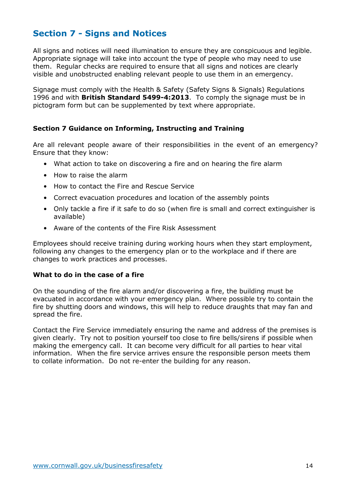## **Section 7 - Signs and Notices**

All signs and notices will need illumination to ensure they are conspicuous and legible. Appropriate signage will take into account the type of people who may need to use them. Regular checks are required to ensure that all signs and notices are clearly visible and unobstructed enabling relevant people to use them in an emergency.

Signage must comply with the Health & Safety (Safety Signs & Signals) Regulations 1996 and with **British Standard 5499-4:2013**. To comply the signage must be in pictogram form but can be supplemented by text where appropriate.

#### **Section 7 Guidance on Informing, Instructing and Training**

Are all relevant people aware of their responsibilities in the event of an emergency? Ensure that they know:

- What action to take on discovering a fire and on hearing the fire alarm
- How to raise the alarm
- How to contact the Fire and Rescue Service
- Correct evacuation procedures and location of the assembly points
- Only tackle a fire if it safe to do so (when fire is small and correct extinguisher is available)
- Aware of the contents of the Fire Risk Assessment

Employees should receive training during working hours when they start employment, following any changes to the emergency plan or to the workplace and if there are changes to work practices and processes.

#### **What to do in the case of a fire**

On the sounding of the fire alarm and/or discovering a fire, the building must be evacuated in accordance with your emergency plan. Where possible try to contain the fire by shutting doors and windows, this will help to reduce draughts that may fan and spread the fire.

Contact the Fire Service immediately ensuring the name and address of the premises is given clearly. Try not to position yourself too close to fire bells/sirens if possible when making the emergency call. It can become very difficult for all parties to hear vital information. When the fire service arrives ensure the responsible person meets them to collate information. Do not re-enter the building for any reason.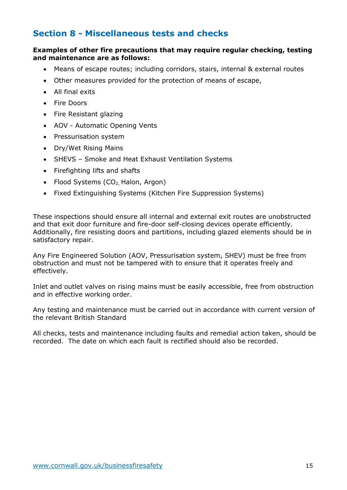## **Section 8 - Miscellaneous tests and checks**

#### **Examples of other fire precautions that may require regular checking, testing and maintenance are as follows:**

- Means of escape routes; including corridors, stairs, internal & external routes
- Other measures provided for the protection of means of escape,
- All final exits
- Fire Doors
- Fire Resistant glazing
- AOV Automatic Opening Vents
- Pressurisation system
- Dry/Wet Rising Mains
- SHEVS Smoke and Heat Exhaust Ventilation Systems
- Firefighting lifts and shafts
- Flood Systems  $(CO<sub>2</sub>)$  Halon, Argon)
- Fixed Extinguishing Systems (Kitchen Fire Suppression Systems)

These inspections should ensure all internal and external exit routes are unobstructed and that exit door furniture and fire-door self-closing devices operate efficiently. Additionally, fire resisting doors and partitions, including glazed elements should be in satisfactory repair.

Any Fire Engineered Solution (AOV, Pressurisation system, SHEV) must be free from obstruction and must not be tampered with to ensure that it operates freely and effectively.

Inlet and outlet valves on rising mains must be easily accessible, free from obstruction and in effective working order.

Any testing and maintenance must be carried out in accordance with current version of the relevant British Standard

All checks, tests and maintenance including faults and remedial action taken, should be recorded. The date on which each fault is rectified should also be recorded.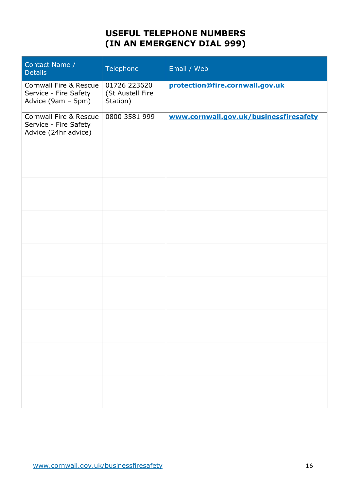## **USEFUL TELEPHONE NUMBERS (IN AN EMERGENCY DIAL 999)**

| Contact Name /<br><b>Details</b>                                                 | Telephone                                    | Email / Web                            |
|----------------------------------------------------------------------------------|----------------------------------------------|----------------------------------------|
| <b>Cornwall Fire &amp; Rescue</b><br>Service - Fire Safety<br>Advice (9am - 5pm) | 01726 223620<br>(St Austell Fire<br>Station) | protection@fire.cornwall.gov.uk        |
| Cornwall Fire & Rescue<br>Service - Fire Safety<br>Advice (24hr advice)          | 0800 3581 999                                | www.cornwall.gov.uk/businessfiresafety |
|                                                                                  |                                              |                                        |
|                                                                                  |                                              |                                        |
|                                                                                  |                                              |                                        |
|                                                                                  |                                              |                                        |
|                                                                                  |                                              |                                        |
|                                                                                  |                                              |                                        |
|                                                                                  |                                              |                                        |
|                                                                                  |                                              |                                        |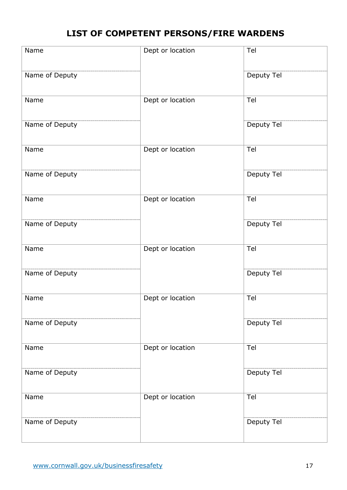## **LIST OF COMPETENT PERSONS/FIRE WARDENS**

| Name           | Dept or location | Tel        |
|----------------|------------------|------------|
| Name of Deputy |                  | Deputy Tel |
| Name           | Dept or location | Tel        |
| Name of Deputy |                  | Deputy Tel |
| Name           | Dept or location | Tel        |
| Name of Deputy |                  | Deputy Tel |
| Name           | Dept or location | Tel        |
| Name of Deputy |                  | Deputy Tel |
| Name           | Dept or location | Tel        |
| Name of Deputy |                  | Deputy Tel |
| Name           | Dept or location | Tel        |
| Name of Deputy |                  | Deputy Tel |
| Name           | Dept or location | Tel        |
| Name of Deputy |                  | Deputy Tel |
| Name           | Dept or location | Tel        |
| Name of Deputy |                  | Deputy Tel |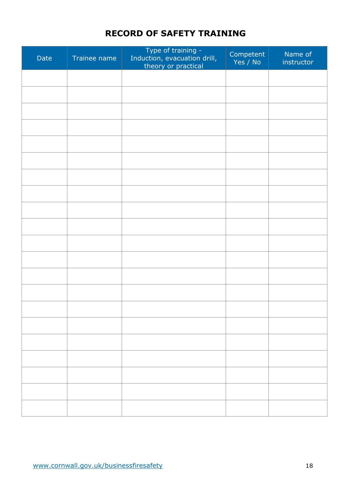## **RECORD OF SAFETY TRAINING**

| Date | Trainee name | Type of training -<br>Induction, evacuation drill,<br>theory or practical | Competent<br>Yes / No | Name of<br>instructor |
|------|--------------|---------------------------------------------------------------------------|-----------------------|-----------------------|
|      |              |                                                                           |                       |                       |
|      |              |                                                                           |                       |                       |
|      |              |                                                                           |                       |                       |
|      |              |                                                                           |                       |                       |
|      |              |                                                                           |                       |                       |
|      |              |                                                                           |                       |                       |
|      |              |                                                                           |                       |                       |
|      |              |                                                                           |                       |                       |
|      |              |                                                                           |                       |                       |
|      |              |                                                                           |                       |                       |
|      |              |                                                                           |                       |                       |
|      |              |                                                                           |                       |                       |
|      |              |                                                                           |                       |                       |
|      |              |                                                                           |                       |                       |
|      |              |                                                                           |                       |                       |
|      |              |                                                                           |                       |                       |
|      |              |                                                                           |                       |                       |
|      |              |                                                                           |                       |                       |
|      |              |                                                                           |                       |                       |
|      |              |                                                                           |                       |                       |
|      |              |                                                                           |                       |                       |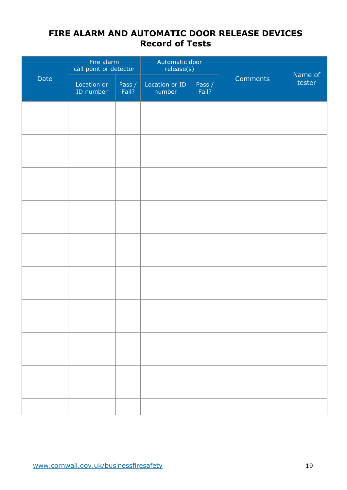## **FIRE ALARM AND AUTOMATIC DOOR RELEASE DEVICES Record of Tests**

|      | Fire alarm<br>call point or detector |                 | Automatic door<br>release(s) |                 |          | Name of |  |
|------|--------------------------------------|-----------------|------------------------------|-----------------|----------|---------|--|
| Date | Location or<br>ID number             | Pass /<br>Fail? | Location or ID<br>number     | Pass /<br>Fail? | Comments | tester  |  |
|      |                                      |                 |                              |                 |          |         |  |
|      |                                      |                 |                              |                 |          |         |  |
|      |                                      |                 |                              |                 |          |         |  |
|      |                                      |                 |                              |                 |          |         |  |
|      |                                      |                 |                              |                 |          |         |  |
|      |                                      |                 |                              |                 |          |         |  |
|      |                                      |                 |                              |                 |          |         |  |
|      |                                      |                 |                              |                 |          |         |  |
|      |                                      |                 |                              |                 |          |         |  |
|      |                                      |                 |                              |                 |          |         |  |
|      |                                      |                 |                              |                 |          |         |  |
|      |                                      |                 |                              |                 |          |         |  |
|      |                                      |                 |                              |                 |          |         |  |
|      |                                      |                 |                              |                 |          |         |  |
|      |                                      |                 |                              |                 |          |         |  |
|      |                                      |                 |                              |                 |          |         |  |
|      |                                      |                 |                              |                 |          |         |  |
|      |                                      |                 |                              |                 |          |         |  |
|      |                                      |                 |                              |                 |          |         |  |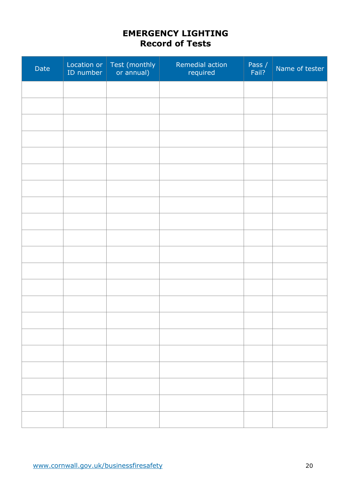## **EMERGENCY LIGHTING Record of Tests**

| Date | Location or<br>ID number | Test (monthly<br>or annual) | Remedial action<br>required | Pass /<br>Fail? | Name of tester |
|------|--------------------------|-----------------------------|-----------------------------|-----------------|----------------|
|      |                          |                             |                             |                 |                |
|      |                          |                             |                             |                 |                |
|      |                          |                             |                             |                 |                |
|      |                          |                             |                             |                 |                |
|      |                          |                             |                             |                 |                |
|      |                          |                             |                             |                 |                |
|      |                          |                             |                             |                 |                |
|      |                          |                             |                             |                 |                |
|      |                          |                             |                             |                 |                |
|      |                          |                             |                             |                 |                |
|      |                          |                             |                             |                 |                |
|      |                          |                             |                             |                 |                |
|      |                          |                             |                             |                 |                |
|      |                          |                             |                             |                 |                |
|      |                          |                             |                             |                 |                |
|      |                          |                             |                             |                 |                |
|      |                          |                             |                             |                 |                |
|      |                          |                             |                             |                 |                |
|      |                          |                             |                             |                 |                |
|      |                          |                             |                             |                 |                |
|      |                          |                             |                             |                 |                |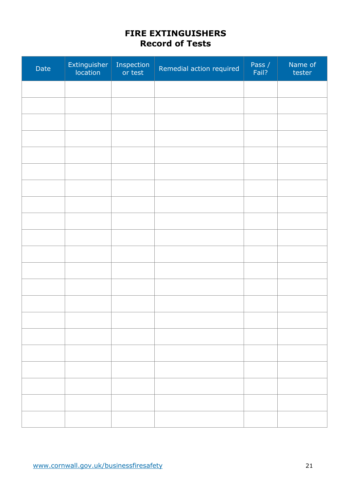## **FIRE EXTINGUISHERS Record of Tests**

| Date | Extinguisher | Inspection<br>or test | Remedial action required | Pass /<br>Fail? | Name of<br>tester |
|------|--------------|-----------------------|--------------------------|-----------------|-------------------|
|      |              |                       |                          |                 |                   |
|      |              |                       |                          |                 |                   |
|      |              |                       |                          |                 |                   |
|      |              |                       |                          |                 |                   |
|      |              |                       |                          |                 |                   |
|      |              |                       |                          |                 |                   |
|      |              |                       |                          |                 |                   |
|      |              |                       |                          |                 |                   |
|      |              |                       |                          |                 |                   |
|      |              |                       |                          |                 |                   |
|      |              |                       |                          |                 |                   |
|      |              |                       |                          |                 |                   |
|      |              |                       |                          |                 |                   |
|      |              |                       |                          |                 |                   |
|      |              |                       |                          |                 |                   |
|      |              |                       |                          |                 |                   |
|      |              |                       |                          |                 |                   |
|      |              |                       |                          |                 |                   |
|      |              |                       |                          |                 |                   |
|      |              |                       |                          |                 |                   |
|      |              |                       |                          |                 |                   |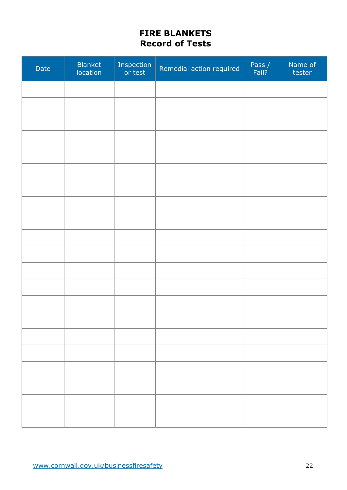## **FIRE BLANKETS Record of Tests**

| Date | <b>Blanket</b><br>location | Inspection<br>or test | Remedial action required | Pass /<br>Fail? | Name of<br>tester |
|------|----------------------------|-----------------------|--------------------------|-----------------|-------------------|
|      |                            |                       |                          |                 |                   |
|      |                            |                       |                          |                 |                   |
|      |                            |                       |                          |                 |                   |
|      |                            |                       |                          |                 |                   |
|      |                            |                       |                          |                 |                   |
|      |                            |                       |                          |                 |                   |
|      |                            |                       |                          |                 |                   |
|      |                            |                       |                          |                 |                   |
|      |                            |                       |                          |                 |                   |
|      |                            |                       |                          |                 |                   |
|      |                            |                       |                          |                 |                   |
|      |                            |                       |                          |                 |                   |
|      |                            |                       |                          |                 |                   |
|      |                            |                       |                          |                 |                   |
|      |                            |                       |                          |                 |                   |
|      |                            |                       |                          |                 |                   |
|      |                            |                       |                          |                 |                   |
|      |                            |                       |                          |                 |                   |
|      |                            |                       |                          |                 |                   |
|      |                            |                       |                          |                 |                   |
|      |                            |                       |                          |                 |                   |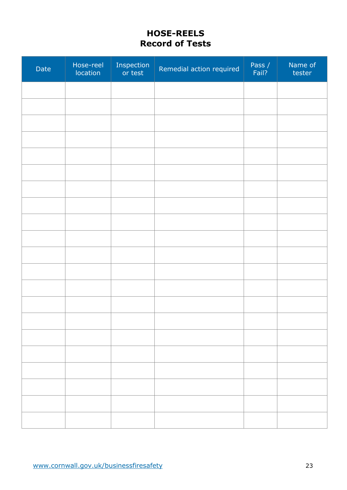## **HOSE-REELS Record of Tests**

| Date | Hose-reel<br>location | Inspection<br>or test | Remedial action required | Pass /<br>Fail? | Name of<br>tester |
|------|-----------------------|-----------------------|--------------------------|-----------------|-------------------|
|      |                       |                       |                          |                 |                   |
|      |                       |                       |                          |                 |                   |
|      |                       |                       |                          |                 |                   |
|      |                       |                       |                          |                 |                   |
|      |                       |                       |                          |                 |                   |
|      |                       |                       |                          |                 |                   |
|      |                       |                       |                          |                 |                   |
|      |                       |                       |                          |                 |                   |
|      |                       |                       |                          |                 |                   |
|      |                       |                       |                          |                 |                   |
|      |                       |                       |                          |                 |                   |
|      |                       |                       |                          |                 |                   |
|      |                       |                       |                          |                 |                   |
|      |                       |                       |                          |                 |                   |
|      |                       |                       |                          |                 |                   |
|      |                       |                       |                          |                 |                   |
|      |                       |                       |                          |                 |                   |
|      |                       |                       |                          |                 |                   |
|      |                       |                       |                          |                 |                   |
|      |                       |                       |                          |                 |                   |
|      |                       |                       |                          |                 |                   |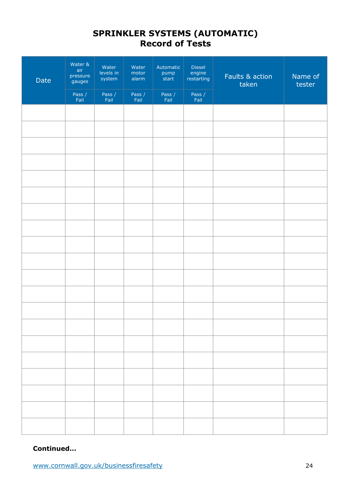## **SPRINKLER SYSTEMS (AUTOMATIC) Record of Tests**

| Date | Water &<br>air<br>pressure<br>gauges | Water<br>levels in<br>system | Water<br>motor<br>alarm | Automatic<br>pump<br>start | Diesel<br>engine<br>restarting | Faults & action<br>taken | Name of<br>tester |  |
|------|--------------------------------------|------------------------------|-------------------------|----------------------------|--------------------------------|--------------------------|-------------------|--|
|      | Pass /<br>Fail                       | Pass /<br>Fail               | Pass /<br>Fail          | Pass /<br>Fail             | Pass /<br>Fail                 |                          |                   |  |
|      |                                      |                              |                         |                            |                                |                          |                   |  |
|      |                                      |                              |                         |                            |                                |                          |                   |  |
|      |                                      |                              |                         |                            |                                |                          |                   |  |
|      |                                      |                              |                         |                            |                                |                          |                   |  |
|      |                                      |                              |                         |                            |                                |                          |                   |  |
|      |                                      |                              |                         |                            |                                |                          |                   |  |
|      |                                      |                              |                         |                            |                                |                          |                   |  |
|      |                                      |                              |                         |                            |                                |                          |                   |  |
|      |                                      |                              |                         |                            |                                |                          |                   |  |
|      |                                      |                              |                         |                            |                                |                          |                   |  |
|      |                                      |                              |                         |                            |                                |                          |                   |  |
|      |                                      |                              |                         |                            |                                |                          |                   |  |
|      |                                      |                              |                         |                            |                                |                          |                   |  |
|      |                                      |                              |                         |                            |                                |                          |                   |  |
|      |                                      |                              |                         |                            |                                |                          |                   |  |
|      |                                      |                              |                         |                            |                                |                          |                   |  |
|      |                                      |                              |                         |                            |                                |                          |                   |  |
|      |                                      |                              |                         |                            |                                |                          |                   |  |
|      |                                      |                              |                         |                            |                                |                          |                   |  |
|      |                                      |                              |                         |                            |                                |                          |                   |  |

#### **Continued…**

www.cornwall.gov.uk/businessfiresafety 24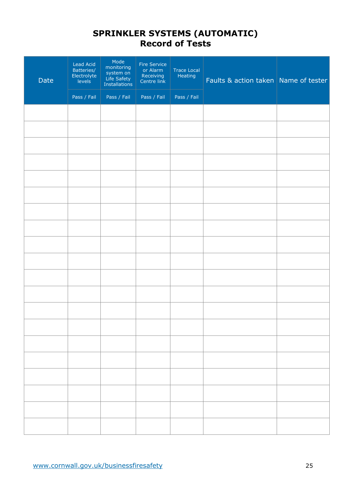### **SPRINKLER SYSTEMS (AUTOMATIC) Record of Tests**

| Date | <b>Lead Acid</b><br>Batteries/<br>Electrolyte<br>levels | Mode<br>monitoring<br>system on<br>Life Safety<br>Installations | Fire Service<br>or Alarm<br>Receiving<br>Centre link | Trace Local<br>Heating | Faults & action taken Name of tester |  |
|------|---------------------------------------------------------|-----------------------------------------------------------------|------------------------------------------------------|------------------------|--------------------------------------|--|
|      | Pass / Fail                                             | Pass / Fail                                                     | Pass / Fail                                          | Pass / Fail            |                                      |  |
|      |                                                         |                                                                 |                                                      |                        |                                      |  |
|      |                                                         |                                                                 |                                                      |                        |                                      |  |
|      |                                                         |                                                                 |                                                      |                        |                                      |  |
|      |                                                         |                                                                 |                                                      |                        |                                      |  |
|      |                                                         |                                                                 |                                                      |                        |                                      |  |
|      |                                                         |                                                                 |                                                      |                        |                                      |  |
|      |                                                         |                                                                 |                                                      |                        |                                      |  |
|      |                                                         |                                                                 |                                                      |                        |                                      |  |
|      |                                                         |                                                                 |                                                      |                        |                                      |  |
|      |                                                         |                                                                 |                                                      |                        |                                      |  |
|      |                                                         |                                                                 |                                                      |                        |                                      |  |
|      |                                                         |                                                                 |                                                      |                        |                                      |  |
|      |                                                         |                                                                 |                                                      |                        |                                      |  |
|      |                                                         |                                                                 |                                                      |                        |                                      |  |
|      |                                                         |                                                                 |                                                      |                        |                                      |  |
|      |                                                         |                                                                 |                                                      |                        |                                      |  |
|      |                                                         |                                                                 |                                                      |                        |                                      |  |
|      |                                                         |                                                                 |                                                      |                        |                                      |  |
|      |                                                         |                                                                 |                                                      |                        |                                      |  |
|      |                                                         |                                                                 |                                                      |                        |                                      |  |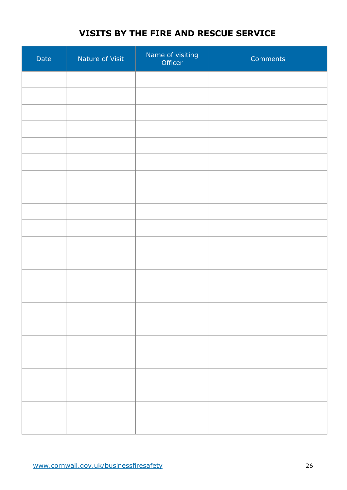## **VISITS BY THE FIRE AND RESCUE SERVICE**

| Date | Nature of Visit | Name of visiting<br>Officer | Comments |
|------|-----------------|-----------------------------|----------|
|      |                 |                             |          |
|      |                 |                             |          |
|      |                 |                             |          |
|      |                 |                             |          |
|      |                 |                             |          |
|      |                 |                             |          |
|      |                 |                             |          |
|      |                 |                             |          |
|      |                 |                             |          |
|      |                 |                             |          |
|      |                 |                             |          |
|      |                 |                             |          |
|      |                 |                             |          |
|      |                 |                             |          |
|      |                 |                             |          |
|      |                 |                             |          |
|      |                 |                             |          |
|      |                 |                             |          |
|      |                 |                             |          |
|      |                 |                             |          |
|      |                 |                             |          |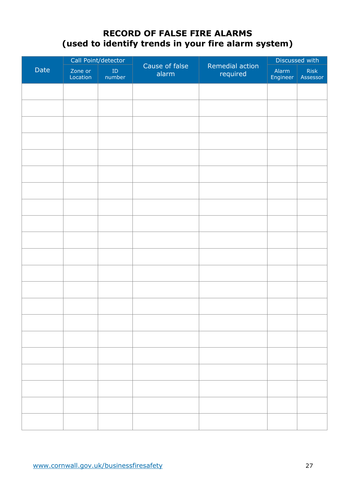## **RECORD OF FALSE FIRE ALARMS (used to identify trends in your fire alarm system)**

|      | Call Point/detector |                      |                         |                             | Discussed with    |                  |
|------|---------------------|----------------------|-------------------------|-----------------------------|-------------------|------------------|
| Date | Zone or<br>Location | ${\rm ID}$<br>number | Cause of false<br>alarm | Remedial action<br>required | Alarm<br>Engineer | Risk<br>Assessor |
|      |                     |                      |                         |                             |                   |                  |
|      |                     |                      |                         |                             |                   |                  |
|      |                     |                      |                         |                             |                   |                  |
|      |                     |                      |                         |                             |                   |                  |
|      |                     |                      |                         |                             |                   |                  |
|      |                     |                      |                         |                             |                   |                  |
|      |                     |                      |                         |                             |                   |                  |
|      |                     |                      |                         |                             |                   |                  |
|      |                     |                      |                         |                             |                   |                  |
|      |                     |                      |                         |                             |                   |                  |
|      |                     |                      |                         |                             |                   |                  |
|      |                     |                      |                         |                             |                   |                  |
|      |                     |                      |                         |                             |                   |                  |
|      |                     |                      |                         |                             |                   |                  |
|      |                     |                      |                         |                             |                   |                  |
|      |                     |                      |                         |                             |                   |                  |
|      |                     |                      |                         |                             |                   |                  |
|      |                     |                      |                         |                             |                   |                  |
|      |                     |                      |                         |                             |                   |                  |
|      |                     |                      |                         |                             |                   |                  |
|      |                     |                      |                         |                             |                   |                  |